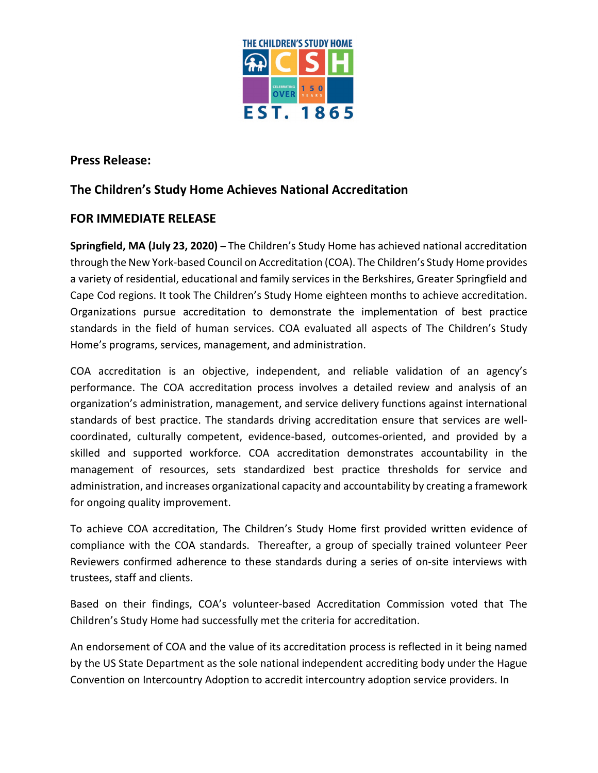

**Press Release:**

## **The Children's Study Home Achieves National Accreditation**

## **FOR IMMEDIATE RELEASE**

**Springfield, MA (July 23, 2020) –** The Children's Study Home has achieved national accreditation through the New York-based Council on Accreditation (COA). The Children's Study Home provides a variety of residential, educational and family services in the Berkshires, Greater Springfield and Cape Cod regions. It took The Children's Study Home eighteen months to achieve accreditation. Organizations pursue accreditation to demonstrate the implementation of best practice standards in the field of human services. COA evaluated all aspects of The Children's Study Home's programs, services, management, and administration.

COA accreditation is an objective, independent, and reliable validation of an agency's performance. The COA accreditation process involves a detailed review and analysis of an organization's administration, management, and service delivery functions against international standards of best practice. The standards driving accreditation ensure that services are wellcoordinated, culturally competent, evidence-based, outcomes-oriented, and provided by a skilled and supported workforce. COA accreditation demonstrates accountability in the management of resources, sets standardized best practice thresholds for service and administration, and increases organizational capacity and accountability by creating a framework for ongoing quality improvement.

To achieve COA accreditation, The Children's Study Home first provided written evidence of compliance with the COA standards. Thereafter, a group of specially trained volunteer Peer Reviewers confirmed adherence to these standards during a series of on-site interviews with trustees, staff and clients.

Based on their findings, COA's volunteer-based Accreditation Commission voted that The Children's Study Home had successfully met the criteria for accreditation.

An endorsement of COA and the value of its accreditation process is reflected in it being named by the US State Department as the sole national independent accrediting body under the Hague Convention on Intercountry Adoption to accredit intercountry adoption service providers. In